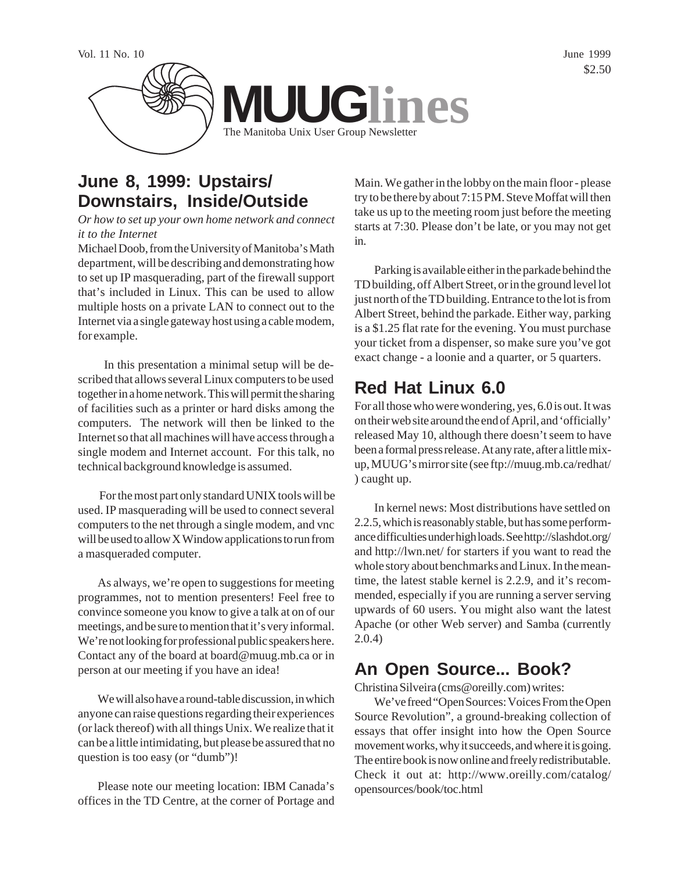

## **June 8, 1999: Upstairs/ Downstairs, Inside/Outside**

*Or how to set up your own home network and connect it to the Internet*

Michael Doob, from the University of Manitoba's Math department, will be describing and demonstrating how to set up IP masquerading, part of the firewall support that's included in Linux. This can be used to allow multiple hosts on a private LAN to connect out to the Internet via a single gateway host using a cable modem, for example.

 In this presentation a minimal setup will be described that allows several Linux computers to be used together in a home network. This will permit the sharing of facilities such as a printer or hard disks among the computers. The network will then be linked to the Internet so that all machines will have access through a single modem and Internet account. For this talk, no technical background knowledge is assumed.

 For the most part only standard UNIX tools will be used. IP masquerading will be used to connect several computers to the net through a single modem, and vnc will be used to allow X Window applications to run from a masqueraded computer.

As always, we're open to suggestions for meeting programmes, not to mention presenters! Feel free to convince someone you know to give a talk at on of our meetings, and be sure to mention that it's very informal. We're not looking for professional public speakers here. Contact any of the board at board@muug.mb.ca or in person at our meeting if you have an idea!

We will also have a round-table discussion, in which anyone can raise questions regarding their experiences (or lack thereof) with all things Unix. We realize that it can be a little intimidating, but please be assured that no question is too easy (or "dumb")!

Please note our meeting location: IBM Canada's offices in the TD Centre, at the corner of Portage and

Main. We gather in the lobby on the main floor - please try to be there by about 7:15 PM. Steve Moffat will then take us up to the meeting room just before the meeting starts at 7:30. Please don't be late, or you may not get in.

Parking is available either in the parkade behind the TD building, off Albert Street, or in the ground level lot just north of the TD building. Entrance to the lot is from Albert Street, behind the parkade. Either way, parking is a \$1.25 flat rate for the evening. You must purchase your ticket from a dispenser, so make sure you've got exact change - a loonie and a quarter, or 5 quarters.

# **Red Hat Linux 6.0**

For all those who were wondering, yes, 6.0 is out. It was on their web site around the end of April, and 'officially' released May 10, although there doesn't seem to have been a formal press release. At any rate, after a little mixup, MUUG's mirror site (see ftp://muug.mb.ca/redhat/ ) caught up.

In kernel news: Most distributions have settled on 2.2.5, which is reasonably stable, but has some performance difficulties under high loads. See http://slashdot.org/ and http://lwn.net/ for starters if you want to read the whole story about benchmarks and Linux. In the meantime, the latest stable kernel is 2.2.9, and it's recommended, especially if you are running a server serving upwards of 60 users. You might also want the latest Apache (or other Web server) and Samba (currently 2.0.4)

## **An Open Source... Book?**

Christina Silveira (cms@oreilly.com) writes:

We've freed "Open Sources: Voices From the Open Source Revolution", a ground-breaking collection of essays that offer insight into how the Open Source movement works, why it succeeds, and where it is going. The entire book is now online and freely redistributable. Check it out at: http://www.oreilly.com/catalog/ opensources/book/toc.html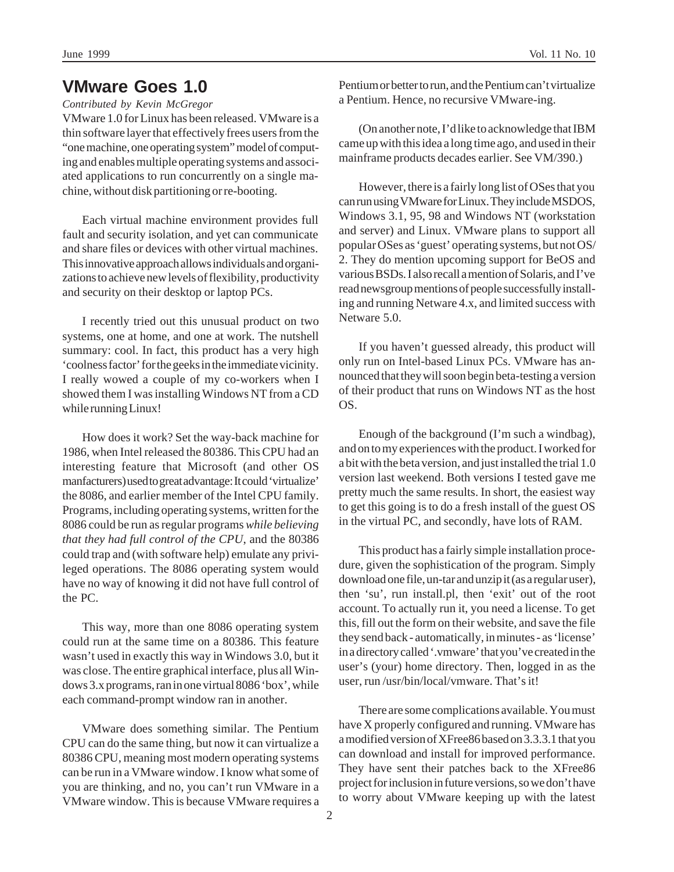*Contributed by Kevin McGregor*

VMware 1.0 for Linux has been released. VMware is a thin software layer that effectively frees users from the "one machine, one operating system" model of computing and enables multiple operating systems and associated applications to run concurrently on a single machine, without disk partitioning or re-booting.

Each virtual machine environment provides full fault and security isolation, and yet can communicate and share files or devices with other virtual machines. This innovative approach allows individuals and organizations to achieve new levels of flexibility, productivity and security on their desktop or laptop PCs.

I recently tried out this unusual product on two systems, one at home, and one at work. The nutshell summary: cool. In fact, this product has a very high 'coolness factor' for the geeks in the immediate vicinity. I really wowed a couple of my co-workers when I showed them I was installing Windows NT from a CD while running Linux!

How does it work? Set the way-back machine for 1986, when Intel released the 80386. This CPU had an interesting feature that Microsoft (and other OS manfacturers) used to great advantage: It could 'virtualize' the 8086, and earlier member of the Intel CPU family. Programs, including operating systems, written for the 8086 could be run as regular programs *while believing that they had full control of the CPU*, and the 80386 could trap and (with software help) emulate any privileged operations. The 8086 operating system would have no way of knowing it did not have full control of the PC.

This way, more than one 8086 operating system could run at the same time on a 80386. This feature wasn't used in exactly this way in Windows 3.0, but it was close. The entire graphical interface, plus all Windows 3.x programs, ran in one virtual 8086 'box', while each command-prompt window ran in another.

VMware does something similar. The Pentium CPU can do the same thing, but now it can virtualize a 80386 CPU, meaning most modern operating systems can be run in a VMware window. I know what some of you are thinking, and no, you can't run VMware in a VMware window. This is because VMware requires a Pentium or better to run, and the Pentium can't virtualize a Pentium. Hence, no recursive VMware-ing.

(On another note, I'd like to acknowledge that IBM came up with this idea a long time ago, and used in their mainframe products decades earlier. See VM/390.)

However, there is a fairly long list of OSes that you can run using VMware for Linux. They include MSDOS, Windows 3.1, 95, 98 and Windows NT (workstation and server) and Linux. VMware plans to support all popular OSes as 'guest' operating systems, but not OS/ 2. They do mention upcoming support for BeOS and various BSDs. I also recall a mention of Solaris, and I've read newsgroup mentions of people successfully installing and running Netware 4.x, and limited success with Netware 5.0

If you haven't guessed already, this product will only run on Intel-based Linux PCs. VMware has announced that they will soon begin beta-testing a version of their product that runs on Windows NT as the host OS.

Enough of the background (I'm such a windbag), and on to my experiences with the product. I worked for a bit with the beta version, and just installed the trial 1.0 version last weekend. Both versions I tested gave me pretty much the same results. In short, the easiest way to get this going is to do a fresh install of the guest OS in the virtual PC, and secondly, have lots of RAM.

This product has a fairly simple installation procedure, given the sophistication of the program. Simply download one file, un-tar and unzip it (as a regular user), then 'su', run install.pl, then 'exit' out of the root account. To actually run it, you need a license. To get this, fill out the form on their website, and save the file they send back - automatically, in minutes - as 'license' in a directory called '.vmware' that you've created in the user's (your) home directory. Then, logged in as the user, run /usr/bin/local/vmware. That's it!

There are some complications available. You must have X properly configured and running. VMware has a modified version of XFree86 based on 3.3.3.1 that you can download and install for improved performance. They have sent their patches back to the XFree86 project for inclusion in future versions, so we don't have to worry about VMware keeping up with the latest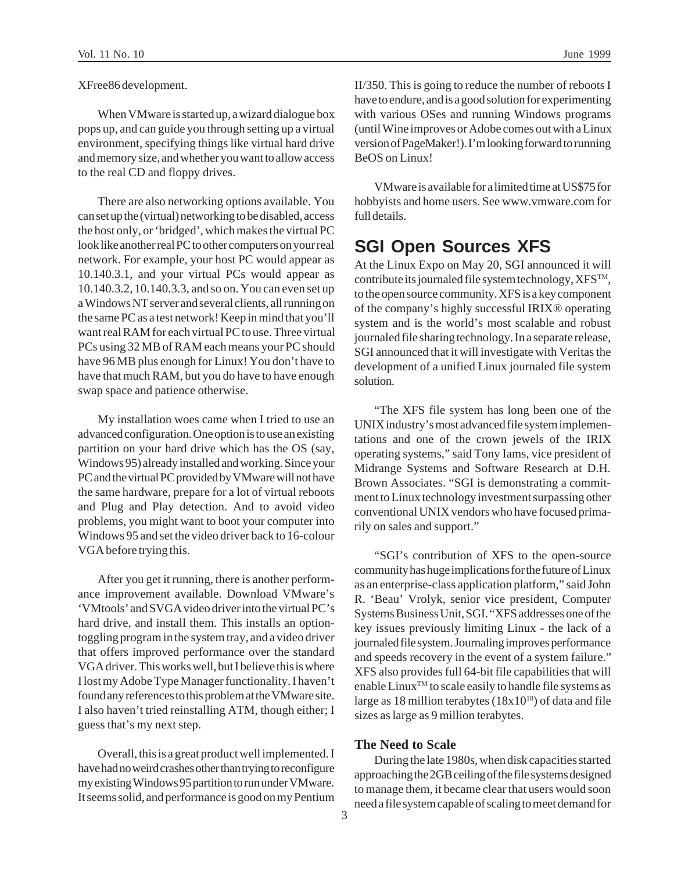XFree86 development.

When VMware is started up, a wizard dialogue box pops up, and can guide you through setting up a virtual environment, specifying things like virtual hard drive and memory size, and whether you want to allow access to the real CD and floppy drives.

There are also networking options available. You can set up the (virtual) networking to be disabled, access the host only, or 'bridged', which makes the virtual PC look like another real PC to other computers on your real network. For example, your host PC would appear as 10.140.3.1, and your virtual PCs would appear as 10.140.3.2, 10.140.3.3, and so on. You can even set up a Windows NT server and several clients, all running on the same PC as a test network! Keep in mind that you'll want real RAM for each virtual PC to use. Three virtual PCs using 32 MB of RAM each means your PC should have 96 MB plus enough for Linux! You don't have to have that much RAM, but you do have to have enough swap space and patience otherwise.

My installation woes came when I tried to use an advanced configuration. One option is to use an existing partition on your hard drive which has the OS (say, Windows 95) already installed and working. Since your PC and the virtual PC provided by VMware will not have the same hardware, prepare for a lot of virtual reboots and Plug and Play detection. And to avoid video problems, you might want to boot your computer into Windows 95 and set the video driver back to 16-colour VGA before trying this.

After you get it running, there is another performance improvement available. Download VMware's 'VMtools' and SVGA video driver into the virtual PC's hard drive, and install them. This installs an optiontoggling program in the system tray, and a video driver that offers improved performance over the standard VGA driver. This works well, but I believe this is where I lost my Adobe Type Manager functionality. I haven't found any references to this problem at the VMware site. I also haven't tried reinstalling ATM, though either; I guess that's my next step.

Overall, this is a great product well implemented. I have had no weird crashes other than trying to reconfigure my existing Windows 95 partition to run under VMware. It seems solid, and performance is good on my Pentium

II/350. This is going to reduce the number of reboots I have to endure, and is a good solution for experimenting with various OSes and running Windows programs (until Wine improves or Adobe comes out with a Linux version of PageMaker!). I'm looking forward to running BeOS on Linux!

VMware is available for a limited time at US\$75 for hobbyists and home users. See www.vmware.com for full details.

## **SGI Open Sources XFS**

At the Linux Expo on May 20, SGI announced it will contribute its journaled file system technology,  $XFS^{TM}$ , to the open source community. XFS is a key component of the company's highly successful IRIX® operating system and is the world's most scalable and robust journaled file sharing technology. In a separate release, SGI announced that it will investigate with Veritas the development of a unified Linux journaled file system solution.

"The XFS file system has long been one of the UNIX industry's most advanced file system implementations and one of the crown jewels of the IRIX operating systems," said Tony Iams, vice president of Midrange Systems and Software Research at D.H. Brown Associates. "SGI is demonstrating a commitment to Linux technology investment surpassing other conventional UNIX vendors who have focused primarily on sales and support."

"SGI's contribution of XFS to the open-source community has huge implications for the future of Linux as an enterprise-class application platform," said John R. 'Beau' Vrolyk, senior vice president, Computer Systems Business Unit, SGI. "XFS addresses one of the key issues previously limiting Linux - the lack of a journaled file system. Journaling improves performance and speeds recovery in the event of a system failure." XFS also provides full 64-bit file capabilities that will enable LinuxTM to scale easily to handle file systems as large as 18 million terabytes  $(18x10^{18})$  of data and file sizes as large as 9 million terabytes.

#### **The Need to Scale**

During the late 1980s, when disk capacities started approaching the 2GB ceiling of the file systems designed to manage them, it became clear that users would soon need a file system capable of scaling to meet demand for